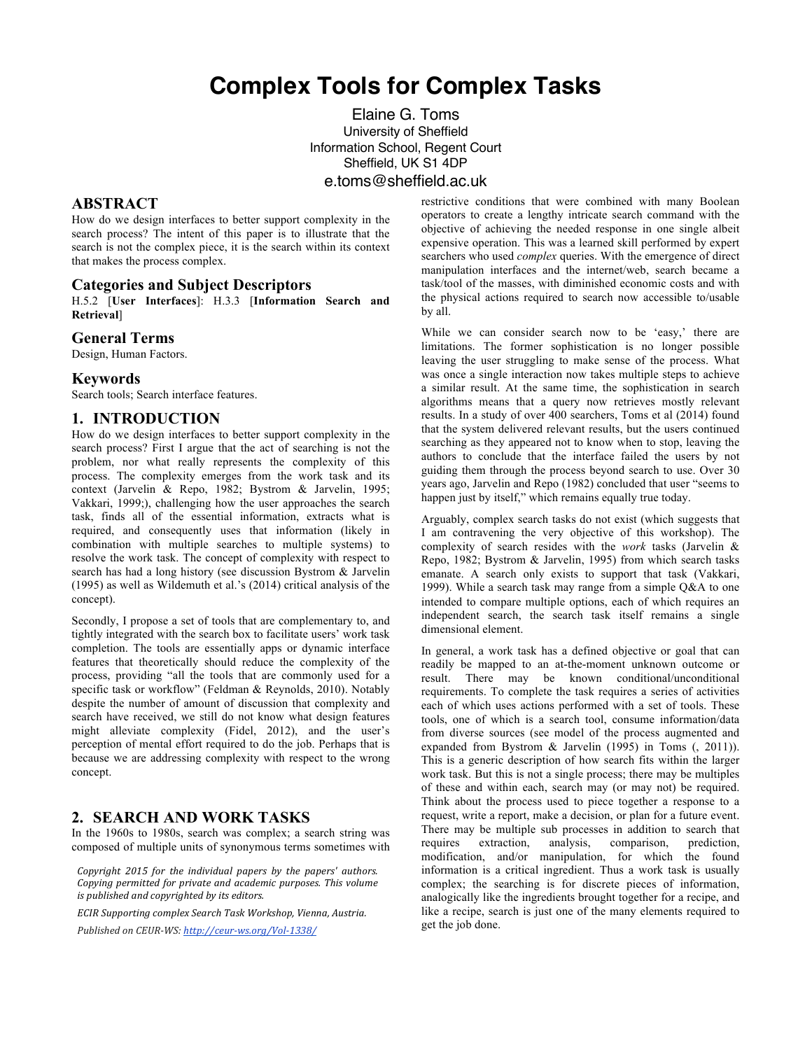# **Complex Tools for Complex Tasks**

Elaine G. Toms University of Sheffield Information School, Regent Court Sheffield, UK S1 4DP e.toms@sheffield.ac.uk

## **ABSTRACT**

How do we design interfaces to better support complexity in the search process? The intent of this paper is to illustrate that the search is not the complex piece, it is the search within its context that makes the process complex.

## **Categories and Subject Descriptors**

H.5.2 [**User Interfaces**]: H.3.3 [**Information Search and Retrieval**]

#### **General Terms**

Design, Human Factors.

#### **Keywords**

Search tools; Search interface features.

#### **1. INTRODUCTION**

How do we design interfaces to better support complexity in the search process? First I argue that the act of searching is not the problem, nor what really represents the complexity of this process. The complexity emerges from the work task and its context (Jarvelin & Repo, 1982; Bystrom & Jarvelin, 1995; Vakkari, 1999;), challenging how the user approaches the search task, finds all of the essential information, extracts what is required, and consequently uses that information (likely in combination with multiple searches to multiple systems) to resolve the work task. The concept of complexity with respect to search has had a long history (see discussion Bystrom & Jarvelin (1995) as well as Wildemuth et al.'s (2014) critical analysis of the concept).

Secondly, I propose a set of tools that are complementary to, and tightly integrated with the search box to facilitate users' work task completion. The tools are essentially apps or dynamic interface features that theoretically should reduce the complexity of the process, providing "all the tools that are commonly used for a specific task or workflow" (Feldman & Reynolds, 2010). Notably despite the number of amount of discussion that complexity and search have received, we still do not know what design features might alleviate complexity (Fidel, 2012), and the user's perception of mental effort required to do the job. Perhaps that is because we are addressing complexity with respect to the wrong concept.

## **2. SEARCH AND WORK TASKS**

In the 1960s to 1980s, search was complex; a search string was composed of multiple units of synonymous terms sometimes with

*Copyright 2015 for the individual papers by the papers' authors. Copying permitted for private and academic purposes. This volume is* published and copyrighted by its editors.

*ECIR Supporting complex Search Task Workshop, Vienna, Austria. Published on CEUR-WS: http://ceur-ws.org/Vol-1338/*

restrictive conditions that were combined with many Boolean operators to create a lengthy intricate search command with the objective of achieving the needed response in one single albeit expensive operation. This was a learned skill performed by expert searchers who used *complex* queries. With the emergence of direct manipulation interfaces and the internet/web, search became a task/tool of the masses, with diminished economic costs and with the physical actions required to search now accessible to/usable by all.

While we can consider search now to be 'easy,' there are limitations. The former sophistication is no longer possible leaving the user struggling to make sense of the process. What was once a single interaction now takes multiple steps to achieve a similar result. At the same time, the sophistication in search algorithms means that a query now retrieves mostly relevant results. In a study of over 400 searchers, Toms et al (2014) found that the system delivered relevant results, but the users continued searching as they appeared not to know when to stop, leaving the authors to conclude that the interface failed the users by not guiding them through the process beyond search to use. Over 30 years ago, Jarvelin and Repo (1982) concluded that user "seems to happen just by itself," which remains equally true today.

Arguably, complex search tasks do not exist (which suggests that I am contravening the very objective of this workshop). The complexity of search resides with the *work* tasks (Jarvelin & Repo, 1982; Bystrom & Jarvelin, 1995) from which search tasks emanate. A search only exists to support that task (Vakkari, 1999). While a search task may range from a simple Q&A to one intended to compare multiple options, each of which requires an independent search, the search task itself remains a single dimensional element.

In general, a work task has a defined objective or goal that can readily be mapped to an at-the-moment unknown outcome or result. There may be known conditional/unconditional requirements. To complete the task requires a series of activities each of which uses actions performed with a set of tools. These tools, one of which is a search tool, consume information/data from diverse sources (see model of the process augmented and expanded from Bystrom & Jarvelin (1995) in Toms (, 2011)). This is a generic description of how search fits within the larger work task. But this is not a single process; there may be multiples of these and within each, search may (or may not) be required. Think about the process used to piece together a response to a request, write a report, make a decision, or plan for a future event. There may be multiple sub processes in addition to search that requires extraction, analysis, comparison, prediction, modification, and/or manipulation, for which the found information is a critical ingredient. Thus a work task is usually complex; the searching is for discrete pieces of information, analogically like the ingredients brought together for a recipe, and like a recipe, search is just one of the many elements required to get the job done.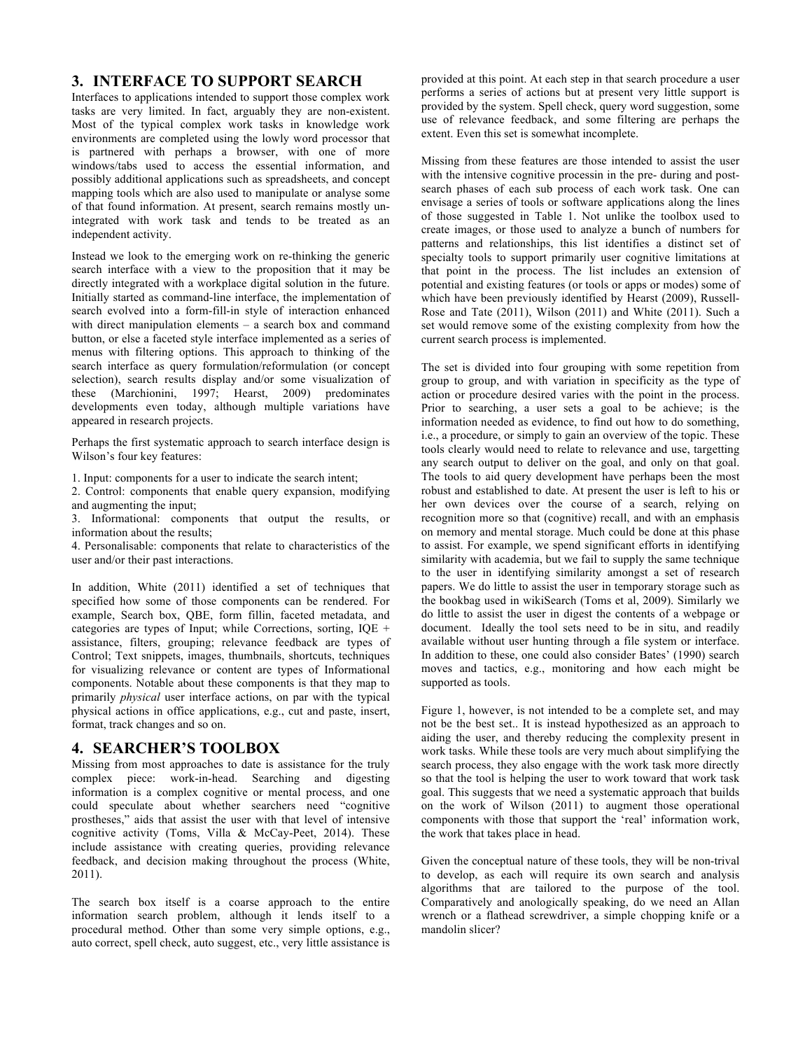# **3. INTERFACE TO SUPPORT SEARCH**

Interfaces to applications intended to support those complex work tasks are very limited. In fact, arguably they are non-existent. Most of the typical complex work tasks in knowledge work environments are completed using the lowly word processor that is partnered with perhaps a browser, with one of more windows/tabs used to access the essential information, and possibly additional applications such as spreadsheets, and concept mapping tools which are also used to manipulate or analyse some of that found information. At present, search remains mostly unintegrated with work task and tends to be treated as an independent activity.

Instead we look to the emerging work on re-thinking the generic search interface with a view to the proposition that it may be directly integrated with a workplace digital solution in the future. Initially started as command-line interface, the implementation of search evolved into a form-fill-in style of interaction enhanced with direct manipulation elements – a search box and command button, or else a faceted style interface implemented as a series of menus with filtering options. This approach to thinking of the search interface as query formulation/reformulation (or concept selection), search results display and/or some visualization of these (Marchionini, 1997; Hearst, 2009) predominates developments even today, although multiple variations have appeared in research projects.

Perhaps the first systematic approach to search interface design is Wilson's four key features:

1. Input: components for a user to indicate the search intent;

2. Control: components that enable query expansion, modifying and augmenting the input;

3. Informational: components that output the results, or information about the results;

4. Personalisable: components that relate to characteristics of the user and/or their past interactions.

In addition, White (2011) identified a set of techniques that specified how some of those components can be rendered. For example, Search box, QBE, form fillin, faceted metadata, and categories are types of Input; while Corrections, sorting, IQE + assistance, filters, grouping; relevance feedback are types of Control; Text snippets, images, thumbnails, shortcuts, techniques for visualizing relevance or content are types of Informational components. Notable about these components is that they map to primarily *physical* user interface actions, on par with the typical physical actions in office applications, e.g., cut and paste, insert, format, track changes and so on.

### **4. SEARCHER'S TOOLBOX**

Missing from most approaches to date is assistance for the truly complex piece: work-in-head. Searching and digesting information is a complex cognitive or mental process, and one could speculate about whether searchers need "cognitive prostheses," aids that assist the user with that level of intensive cognitive activity (Toms, Villa & McCay-Peet, 2014). These include assistance with creating queries, providing relevance feedback, and decision making throughout the process (White, 2011).

The search box itself is a coarse approach to the entire information search problem, although it lends itself to a procedural method. Other than some very simple options, e.g., auto correct, spell check, auto suggest, etc., very little assistance is provided at this point. At each step in that search procedure a user performs a series of actions but at present very little support is provided by the system. Spell check, query word suggestion, some use of relevance feedback, and some filtering are perhaps the extent. Even this set is somewhat incomplete.

Missing from these features are those intended to assist the user with the intensive cognitive processin in the pre- during and postsearch phases of each sub process of each work task. One can envisage a series of tools or software applications along the lines of those suggested in Table 1. Not unlike the toolbox used to create images, or those used to analyze a bunch of numbers for patterns and relationships, this list identifies a distinct set of specialty tools to support primarily user cognitive limitations at that point in the process. The list includes an extension of potential and existing features (or tools or apps or modes) some of which have been previously identified by Hearst (2009), Russell-Rose and Tate (2011), Wilson (2011) and White (2011). Such a set would remove some of the existing complexity from how the current search process is implemented.

The set is divided into four grouping with some repetition from group to group, and with variation in specificity as the type of action or procedure desired varies with the point in the process. Prior to searching, a user sets a goal to be achieve; is the information needed as evidence, to find out how to do something, i.e., a procedure, or simply to gain an overview of the topic. These tools clearly would need to relate to relevance and use, targetting any search output to deliver on the goal, and only on that goal. The tools to aid query development have perhaps been the most robust and established to date. At present the user is left to his or her own devices over the course of a search, relying on recognition more so that (cognitive) recall, and with an emphasis on memory and mental storage. Much could be done at this phase to assist. For example, we spend significant efforts in identifying similarity with academia, but we fail to supply the same technique to the user in identifying similarity amongst a set of research papers. We do little to assist the user in temporary storage such as the bookbag used in wikiSearch (Toms et al, 2009). Similarly we do little to assist the user in digest the contents of a webpage or document. Ideally the tool sets need to be in situ, and readily available without user hunting through a file system or interface. In addition to these, one could also consider Bates' (1990) search moves and tactics, e.g., monitoring and how each might be supported as tools.

Figure 1, however, is not intended to be a complete set, and may not be the best set.. It is instead hypothesized as an approach to aiding the user, and thereby reducing the complexity present in work tasks. While these tools are very much about simplifying the search process, they also engage with the work task more directly so that the tool is helping the user to work toward that work task goal. This suggests that we need a systematic approach that builds on the work of Wilson (2011) to augment those operational components with those that support the 'real' information work, the work that takes place in head.

Given the conceptual nature of these tools, they will be non-trival to develop, as each will require its own search and analysis algorithms that are tailored to the purpose of the tool. Comparatively and anologically speaking, do we need an Allan wrench or a flathead screwdriver, a simple chopping knife or a mandolin slicer?